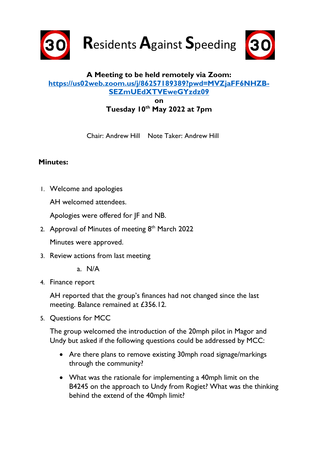

**R**esidents **A**gainst **S**peeding



## **A Meeting to be held remotely via Zoom: [https://us02web.zoom.us/j/86257189389?pwd=MVZjaFF6NHZB-](https://us02web.zoom.us/j/86257189389?pwd=MVZjaFF6NHZBSEZmUEdXTVEweGYzdz09)[SEZmUEdXTVEweGYzdz09](https://us02web.zoom.us/j/86257189389?pwd=MVZjaFF6NHZBSEZmUEdXTVEweGYzdz09) on**

**Tuesday 10th May 2022 at 7pm**

Chair: Andrew Hill Note Taker: Andrew Hill

## **Minutes:**

1. Welcome and apologies

AH welcomed attendees.

Apologies were offered for JF and NB.

2. Approval of Minutes of meeting  $8<sup>th</sup>$  March 2022

Minutes were approved.

- 3. Review actions from last meeting
	- a. N/A
- 4. Finance report

AH reported that the group's finances had not changed since the last meeting. Balance remained at £356.12.

5. Questions for MCC

The group welcomed the introduction of the 20mph pilot in Magor and Undy but asked if the following questions could be addressed by MCC:

- Are there plans to remove existing 30mph road signage/markings through the community?
- What was the rationale for implementing a 40mph limit on the B4245 on the approach to Undy from Rogiet? What was the thinking behind the extend of the 40mph limit?